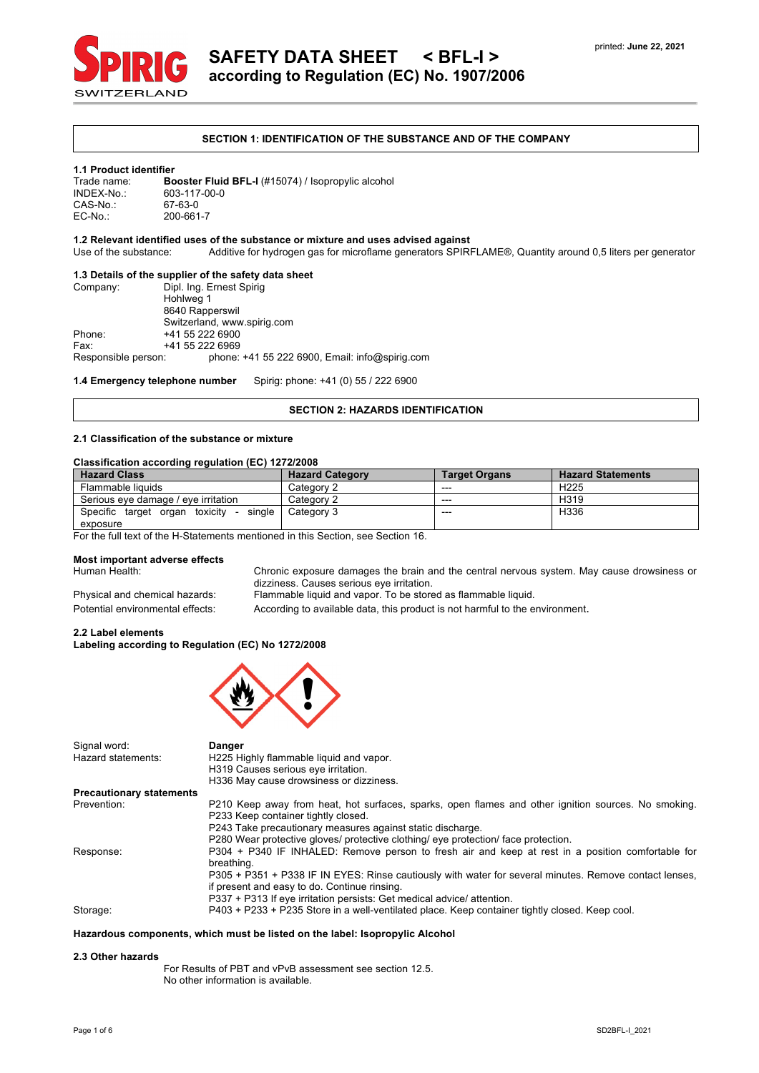

#### **SECTION 1: IDENTIFICATION OF THE SUBSTANCE AND OF THE COMPANY**

#### **1.1 Product identifier**

Trade name: **Booster Fluid BFL-I** (#15074) / Isopropylic alcohol<br>INDEX-No.: 603-117-00-0 603-117-00-0<br>67-63-0 CAS-No.:<br>EC-No.: EC-No.: 200-661-7

## **1.2 Relevant identified uses of the substance or mixture and uses advised against**

Additive for hydrogen gas for microflame generators SPIRFLAME®, Quantity around 0,5 liters per generator

#### **1.3 Details of the supplier of the safety data sheet**

| Company:            | Dipl. Ing. Ernest Spirig                       |  |  |  |
|---------------------|------------------------------------------------|--|--|--|
|                     | Hohlweg 1                                      |  |  |  |
|                     | 8640 Rapperswil                                |  |  |  |
|                     | Switzerland, www.spirig.com                    |  |  |  |
| Phone:              | +41 55 222 6900                                |  |  |  |
| Fax:                | +41 55 222 6969                                |  |  |  |
| Responsible person: | phone: +41 55 222 6900, Email: info@spirig.com |  |  |  |
|                     |                                                |  |  |  |

**1.4 Emergency telephone number** Spirig: phone: +41 (0) 55 / 222 6900

#### **SECTION 2: HAZARDS IDENTIFICATION**

#### **2.1 Classification of the substance or mixture**

#### **Classification according regulation (EC) 1272/2008**

| <b>Hazard Class</b>                                | <b>Hazard Category</b> | <b>Target Organs</b> | <b>Hazard Statements</b> |
|----------------------------------------------------|------------------------|----------------------|--------------------------|
| Flammable liquids                                  | Category 2             | ---                  | H <sub>225</sub>         |
| Serious eve damage / eve irritation                | Category 2             | $- - -$              | H <sub>319</sub>         |
| Specific target organ toxicity<br>single<br>$\sim$ | Category 3             | ---                  | H <sub>336</sub>         |
| exposure                                           |                        |                      |                          |

For the full text of the H-Statements mentioned in this Section, see Section 16.

#### **Most important adverse effects**

Human Health: Chronic exposure damages the brain and the central nervous system. May cause drowsiness or dizziness. Causes serious eye irritation.

Physical and chemical hazards: Flammable liquid and vapor. To be stored as flammable liquid.

Potential environmental effects: According to available data, this product is not harmful to the environment.

#### **2.2 Label elements Labeling according to Regulation (EC) No 1272/2008**



| Signal word:<br>Hazard statements: | <b>Danger</b><br>H225 Highly flammable liquid and vapor.<br>H319 Causes serious eye irritation.<br>H336 May cause drowsiness or dizziness.                                                               |
|------------------------------------|----------------------------------------------------------------------------------------------------------------------------------------------------------------------------------------------------------|
| <b>Precautionary statements</b>    |                                                                                                                                                                                                          |
| Prevention:                        | P210 Keep away from heat, hot surfaces, sparks, open flames and other ignition sources. No smoking.<br>P233 Keep container tightly closed.<br>P243 Take precautionary measures against static discharge. |
|                                    | P280 Wear protective gloves/ protective clothing/ eye protection/ face protection.                                                                                                                       |
| Response:                          | P304 + P340 IF INHALED: Remove person to fresh air and keep at rest in a position comfortable for<br>breathing.                                                                                          |
|                                    | P305 + P351 + P338 IF IN EYES: Rinse cautiously with water for several minutes. Remove contact lenses,<br>if present and easy to do. Continue rinsing.                                                   |
| Storage:                           | P337 + P313 If eye irritation persists: Get medical advice/ attention.<br>P403 + P233 + P235 Store in a well-ventilated place. Keep container tightly closed. Keep cool.                                 |

#### **Hazardous components, which must be listed on the label: Isopropylic Alcohol**

#### **2.3 Other hazards**

For Results of PBT and vPvB assessment see section 12.5. No other information is available.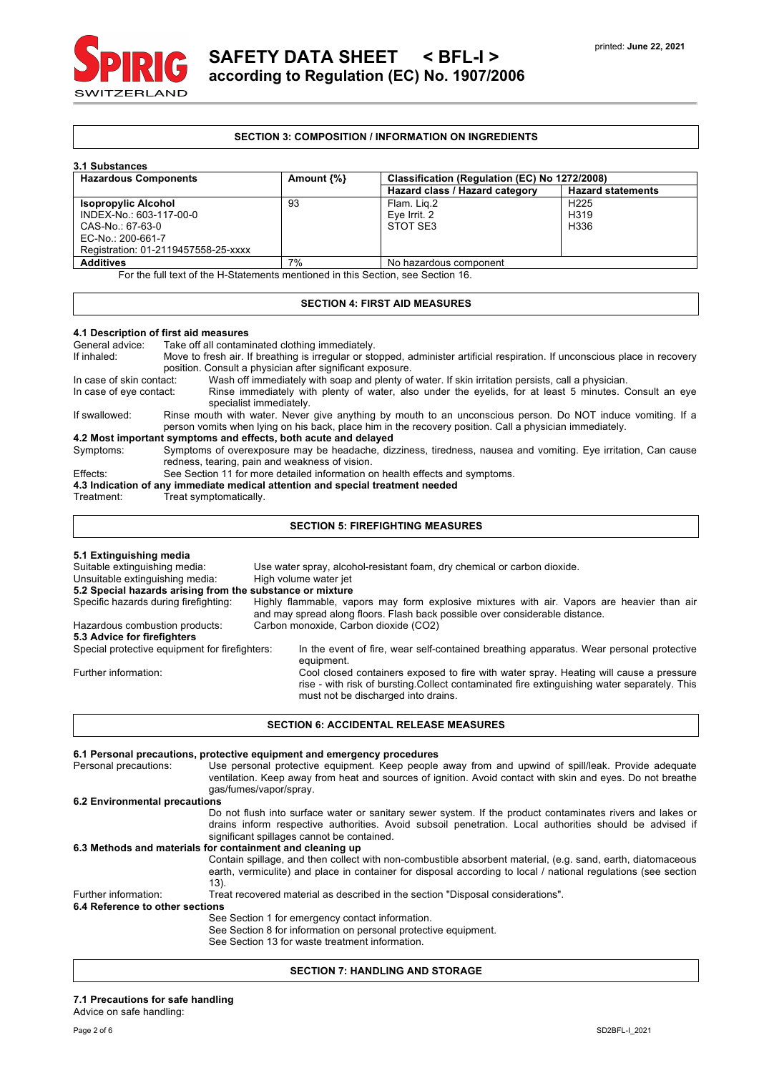

#### **SECTION 3: COMPOSITION / INFORMATION ON INGREDIENTS**

| 3.1 Substances                                                                   |                  |                                               |                          |  |
|----------------------------------------------------------------------------------|------------------|-----------------------------------------------|--------------------------|--|
| <b>Hazardous Components</b>                                                      | Amount $\{\% \}$ | Classification (Regulation (EC) No 1272/2008) |                          |  |
|                                                                                  |                  | Hazard class / Hazard category                | <b>Hazard statements</b> |  |
| <b>Isopropylic Alcohol</b>                                                       | 93               | Flam. Lig.2                                   | H <sub>225</sub>         |  |
| INDEX-No.: 603-117-00-0                                                          |                  | Eye Irrit. 2                                  | H <sub>3</sub> 19        |  |
| CAS-No.: 67-63-0                                                                 |                  | STOT SE3                                      | H336                     |  |
| EC-No.: 200-661-7                                                                |                  |                                               |                          |  |
| Registration: 01-2119457558-25-xxxx                                              |                  |                                               |                          |  |
| <b>Additives</b>                                                                 | 7%               | No hazardous component                        |                          |  |
| For the full text of the H-Statements mentioned in this Section, see Section 16. |                  |                                               |                          |  |

## **SECTION 4: FIRST AID MEASURES**

# **4.1 Description of first aid measures**

Take off all contaminated clothing immediately.

If inhaled: Move to fresh air. If breathing is irregular or stopped, administer artificial respiration. If unconscious place in recovery position. Consult a physician after significant exposure.<br>In case of skin contact: Wash off immediately with soap and plenty of Wash off immediately with soap and plenty of water. If skin irritation persists, call a physician.

In case of eye contact: Rinse immediately with plenty of water, also under the eyelids, for at least 5 minutes. Consult an eye specialist immediately. If swallowed: Rinse mouth with water. Never give anything by mouth to an unconscious person. Do NOT induce vomiting. If a

person vomits when lying on his back, place him in the recovery position. Call a physician immediately.

### **4.2 Most important symptoms and effects, both acute and delayed**

Symptoms: Symptoms of overexposure may be headache, dizziness, tiredness, nausea and vomiting. Eye irritation, Can cause redness, tearing, pain and weakness of vision.

Effects: See Section 11 for more detailed information on health effects and symptoms.

**4.3 Indication of any immediate medical attention and special treatment needed**

Treatment: Treat symptomatically.

#### **SECTION 5: FIREFIGHTING MEASURES**

| 5.1 Extinguishing media                                   |                                                                                                                                                                                                                              |  |  |  |
|-----------------------------------------------------------|------------------------------------------------------------------------------------------------------------------------------------------------------------------------------------------------------------------------------|--|--|--|
| Suitable extinguishing media:                             | Use water spray, alcohol-resistant foam, dry chemical or carbon dioxide.                                                                                                                                                     |  |  |  |
| Unsuitable extinguishing media:                           | High volume water jet                                                                                                                                                                                                        |  |  |  |
| 5.2 Special hazards arising from the substance or mixture |                                                                                                                                                                                                                              |  |  |  |
| Specific hazards during firefighting:                     | Highly flammable, vapors may form explosive mixtures with air. Vapors are heavier than air<br>and may spread along floors. Flash back possible over considerable distance.                                                   |  |  |  |
| Hazardous combustion products:                            | Carbon monoxide, Carbon dioxide (CO2)                                                                                                                                                                                        |  |  |  |
| 5.3 Advice for firefighters                               |                                                                                                                                                                                                                              |  |  |  |
| Special protective equipment for firefighters:            | In the event of fire, wear self-contained breathing apparatus. Wear personal protective<br>equipment.                                                                                                                        |  |  |  |
| Further information:                                      | Cool closed containers exposed to fire with water spray. Heating will cause a pressure<br>rise - with risk of bursting Collect contaminated fire extinguishing water separately. This<br>must not be discharged into drains. |  |  |  |

#### **SECTION 6: ACCIDENTAL RELEASE MEASURES**

|                                 | 6.1 Personal precautions, protective equipment and emergency procedures                                                                                                                                                                                            |  |  |  |
|---------------------------------|--------------------------------------------------------------------------------------------------------------------------------------------------------------------------------------------------------------------------------------------------------------------|--|--|--|
| Personal precautions:           | Use personal protective equipment. Keep people away from and upwind of spill/leak. Provide adequate<br>ventilation. Keep away from heat and sources of ignition. Avoid contact with skin and eyes. Do not breathe<br>qas/fumes/vapor/spray.                        |  |  |  |
| 6.2 Environmental precautions   |                                                                                                                                                                                                                                                                    |  |  |  |
|                                 | Do not flush into surface water or sanitary sewer system. If the product contaminates rivers and lakes or<br>drains inform respective authorities. Avoid subsoil penetration. Local authorities should be advised if<br>significant spillages cannot be contained. |  |  |  |
|                                 | 6.3 Methods and materials for containment and cleaning up                                                                                                                                                                                                          |  |  |  |
|                                 | Contain spillage, and then collect with non-combustible absorbent material, (e.g. sand, earth, diatomaceous<br>earth, vermiculite) and place in container for disposal according to local / national regulations (see section<br>13).                              |  |  |  |
| Further information:            | Treat recovered material as described in the section "Disposal considerations".                                                                                                                                                                                    |  |  |  |
| 6.4 Reference to other sections |                                                                                                                                                                                                                                                                    |  |  |  |
|                                 | See Section 1 for emergency contact information.<br>See Section 8 for information on personal protective equipment.<br>See Section 13 for waste treatment information.                                                                                             |  |  |  |

#### **SECTION 7: HANDLING AND STORAGE**

#### **7.1 Precautions for safe handling**

Advice on safe handling: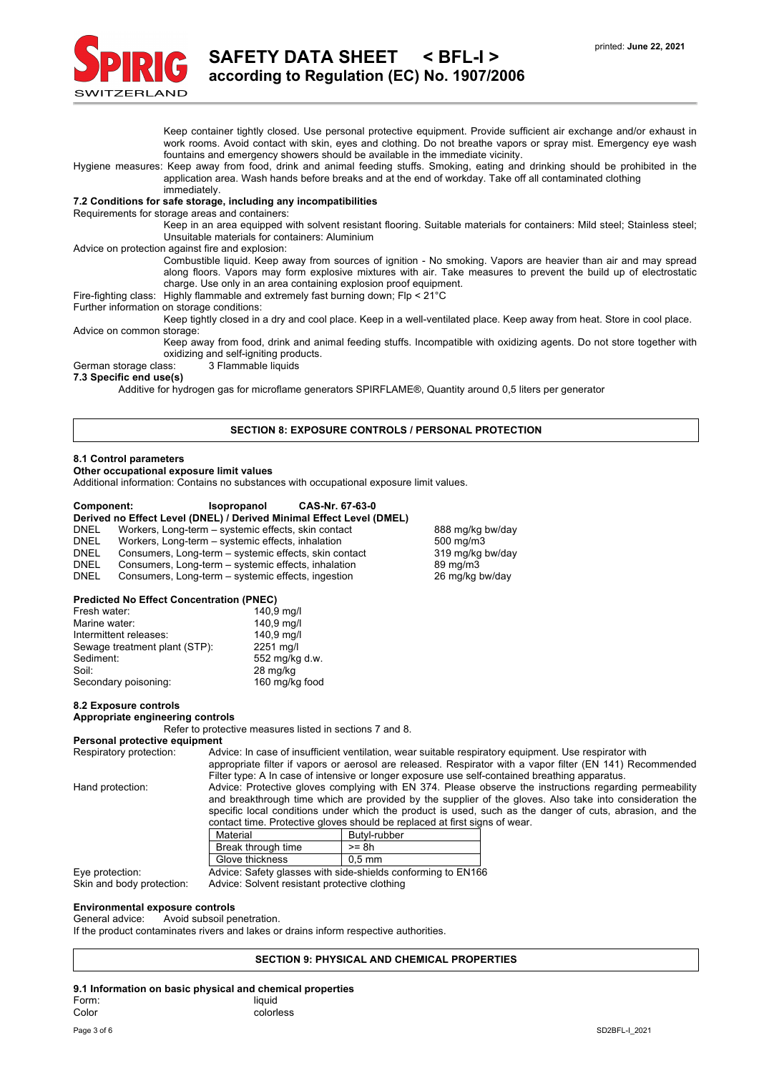

Keep container tightly closed. Use personal protective equipment. Provide sufficient air exchange and/or exhaust in work rooms. Avoid contact with skin, eyes and clothing. Do not breathe vapors or spray mist. Emergency eye wash fountains and emergency showers should be available in the immediate vicinity. Hygiene measures: Keep away from food, drink and animal feeding stuffs. Smoking, eating and drinking should be prohibited in the application area. Wash hands before breaks and at the end of workday. Take off all contaminated clothing immediately. **7.2 Conditions for safe storage, including any incompatibilities** Requirements for storage areas and containers: Keep in an area equipped with solvent resistant flooring. Suitable materials for containers: Mild steel; Stainless steel; Unsuitable materials for containers: Aluminium Advice on protection against fire and explosion: Combustible liquid. Keep away from sources of ignition - No smoking. Vapors are heavier than air and may spread along floors. Vapors may form explosive mixtures with air. Take measures to prevent the build up of electrostatic charge. Use only in an area containing explosion proof equipment. Fire-fighting class: Highly flammable and extremely fast burning down; Flp < 21°C Further information on storage conditions: Keep tightly closed in a dry and cool place. Keep in a well-ventilated place. Keep away from heat. Store in cool place. Advice on common storage: Keep away from food, drink and animal feeding stuffs. Incompatible with oxidizing agents. Do not store together with oxidizing and self-igniting products. German storage class: 3 Flammable liquids **7.3 Specific end use(s)** Additive for hydrogen gas for microflame generators SPIRFLAME®, Quantity around 0,5 liters per generator **SECTION 8: EXPOSURE CONTROLS / PERSONAL PROTECTION 8.1 Control parameters Other occupational exposure limit values** Additional information: Contains no substances with occupational exposure limit values. **Component: Isopropanol CAS-Nr. 67-63-0 Derived no Effect Level (DNEL) / Derived Minimal Effect Level (DMEL)** DNEL Workers, Long-term – systemic effects, skin contact 888 mg/kg bw/day DNEL Workers, Long-term – systemic effects, inhalation 500 mg/m3 DNEL Consumers, Long-term – systemic effects, skin contact 319 mg/kg bw/day<br>DNEL Consumers, Long-term – systemic effects, inhalation 89 mg/m3 DNEL Consumers, Long-term – systemic effects, inhalation 89 mg/m3<br>DNEL Consumers, Long-term – systemic effects, ingestion 26 mg/kg bw/day Consumers, Long-term – systemic effects, ingestion **Predicted No Effect Concentration (PNEC)** Fresh water: 140,9 mg/l<br>Marine water: 140,9 mg/l Marine water: 140,9 mg/l<br>Intermittent releases: 140,9 mg/l Intermittent releases: Sewage treatment plant (STP): 2251 mg/l Sediment: 552 mg/kg d.w. Soil: 28 mg/kg<br>
Secondary poisoning: 28 mg/kg food Secondary poisoning:

#### **8.2 Exposure controls**

#### **Appropriate engineering controls**

Refer to protective measures listed in sections 7 and 8.

## **Personal protective equipment**<br>Respiratory protection: Adv

Advice: In case of insufficient ventilation, wear suitable respiratory equipment. Use respirator with

Filter type: A In case of intensive or longer exposure use self-contained breathing apparatus.

Eye protection:

appropriate filter if vapors or aerosol are released. Respirator with a vapor filter (EN 141) Recommended Hand protection: Advice: Protective gloves complying with EN 374. Please observe the instructions regarding permeability and breakthrough time which are provided by the supplier of the gloves. Also take into consideration the specific local conditions under which the product is used, such as the danger of cuts, abrasion, and the

| contact time. Protective gloves should be replaced at first signs of wear. |              |  |  |  |
|----------------------------------------------------------------------------|--------------|--|--|--|
| Material                                                                   | Butvl-rubber |  |  |  |
| Break through time                                                         | $>=$ 8h      |  |  |  |
| .                                                                          |              |  |  |  |

| Glove thickness                               | $0.5$ mm                                                     |  |
|-----------------------------------------------|--------------------------------------------------------------|--|
|                                               | Advice: Safety glasses with side-shields conforming to EN166 |  |
| Adviser Celvest resistant protective elething |                                                              |  |

Skin and body protection: Advice: Solvent resistant protective clothing

#### **Environmental exposure controls**

#### General advice: Avoid subsoil penetration.

If the product contaminates rivers and lakes or drains inform respective authorities.

#### **SECTION 9: PHYSICAL AND CHEMICAL PROPERTIES**

#### **9.1 Information on basic physical and chemical properties** Form: liquid colorless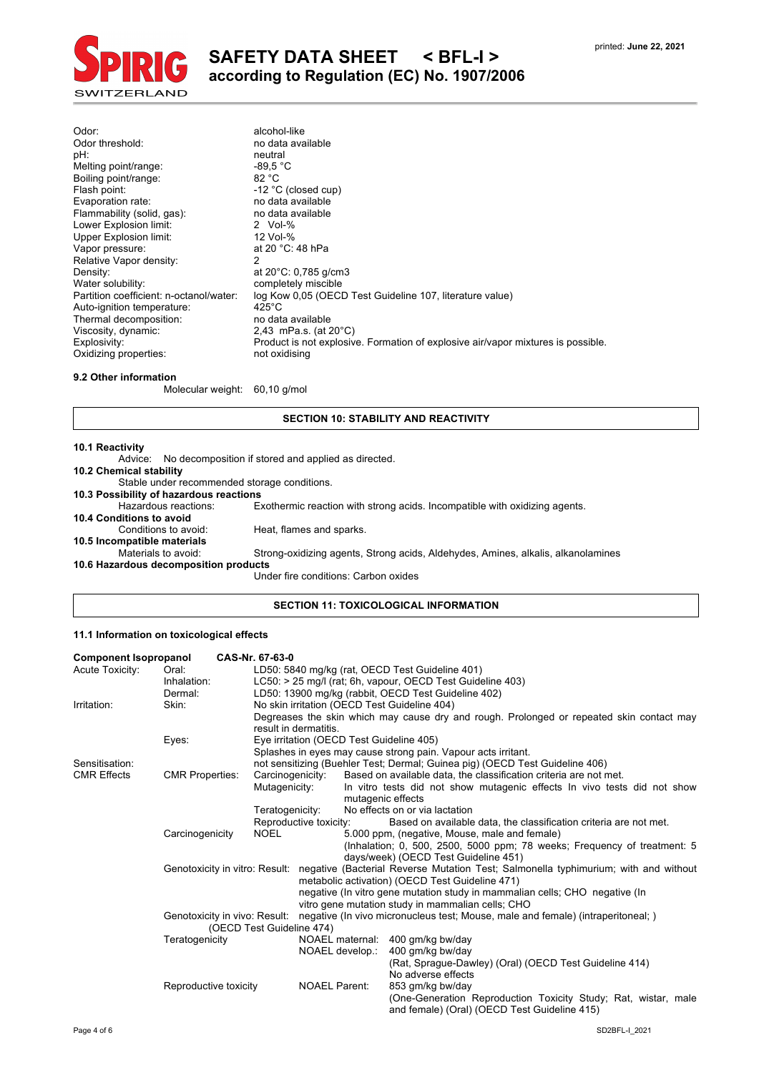

| Odor:                                   | alcohol-like                                                                     |
|-----------------------------------------|----------------------------------------------------------------------------------|
| Odor threshold:                         | no data available                                                                |
| pH:                                     | neutral                                                                          |
| Melting point/range:                    | $-89.5 °C$                                                                       |
| Boiling point/range:                    | 82 °C                                                                            |
| Flash point:                            | -12 °C (closed cup)                                                              |
| Evaporation rate:                       | no data available                                                                |
| Flammability (solid, gas):              | no data available                                                                |
| Lower Explosion limit:                  | 2 Vol- $%$                                                                       |
| Upper Explosion limit:                  | 12 Vol-%                                                                         |
| Vapor pressure:                         | at 20 °C: 48 hPa                                                                 |
| Relative Vapor density:                 | 2                                                                                |
| Density:                                | at $20^{\circ}$ C: 0,785 g/cm3                                                   |
| Water solubility:                       | completely miscible                                                              |
| Partition coefficient: n-octanol/water: | log Kow 0.05 (OECD Test Guideline 107, literature value)                         |
| Auto-ignition temperature:              | $425^{\circ}$ C                                                                  |
| Thermal decomposition:                  | no data available                                                                |
| Viscosity, dynamic:                     | 2,43 mPa.s. (at $20^{\circ}$ C)                                                  |
| Explosivity:                            | Product is not explosive. Formation of explosive air/vapor mixtures is possible. |
| Oxidizing properties:                   | not oxidising                                                                    |

### **9.2 Other information**

Molecular weight: 60,10 g/mol

#### **SECTION 10: STABILITY AND REACTIVITY**

#### **10.1 Reactivity**

|                                              | Advice: No decomposition if stored and applied as directed.                      |
|----------------------------------------------|----------------------------------------------------------------------------------|
| 10.2 Chemical stability                      |                                                                                  |
| Stable under recommended storage conditions. |                                                                                  |
| 10.3 Possibility of hazardous reactions      |                                                                                  |
| Hazardous reactions:                         | Exothermic reaction with strong acids. Incompatible with oxidizing agents.       |
| 10.4 Conditions to avoid                     |                                                                                  |
| Conditions to avoid:                         | Heat, flames and sparks.                                                         |
| 10.5 Incompatible materials                  |                                                                                  |
| Materials to avoid:                          | Strong-oxidizing agents, Strong acids, Aldehydes, Amines, alkalis, alkanolamines |
| 10.6 Hazardous decomposition products        |                                                                                  |
|                                              | Under fire conditions: Carbon oxides                                             |
|                                              |                                                                                  |

### **SECTION 11: TOXICOLOGICAL INFORMATION**

### **11.1 Information on toxicological effects**

| <b>Component Isopropanol</b> |                                | CAS-Nr. 67-63-0           |                        |                   |                                                                                                                                        |
|------------------------------|--------------------------------|---------------------------|------------------------|-------------------|----------------------------------------------------------------------------------------------------------------------------------------|
| Acute Toxicity:              | Oral:                          |                           |                        |                   | LD50: 5840 mg/kg (rat. OECD Test Guideline 401)                                                                                        |
|                              | Inhalation:                    |                           |                        |                   | LC50: > 25 mg/l (rat; 6h, vapour, OECD Test Guideline 403)                                                                             |
|                              | Dermal:                        |                           |                        |                   | LD50: 13900 mg/kg (rabbit, OECD Test Guideline 402)                                                                                    |
| Irritation:                  | Skin:                          |                           |                        |                   | No skin irritation (OECD Test Guideline 404)                                                                                           |
|                              |                                |                           | result in dermatitis.  |                   | Degreases the skin which may cause dry and rough. Prolonged or repeated skin contact may                                               |
|                              | Eyes:                          |                           |                        |                   | Eye irritation (OECD Test Guideline 405)                                                                                               |
|                              |                                |                           |                        |                   | Splashes in eyes may cause strong pain. Vapour acts irritant.                                                                          |
| Sensitisation:               |                                |                           |                        |                   | not sensitizing (Buehler Test; Dermal; Guinea pig) (OECD Test Guideline 406)                                                           |
| <b>CMR Effects</b>           | <b>CMR Properties:</b>         | Carcinogenicity:          |                        |                   | Based on available data, the classification criteria are not met.                                                                      |
|                              |                                | Mutagenicity:             |                        | mutagenic effects | In vitro tests did not show mutagenic effects In vivo tests did not show                                                               |
|                              |                                | Teratogenicity:           |                        |                   | No effects on or via lactation                                                                                                         |
|                              |                                |                           | Reproductive toxicity: |                   | Based on available data, the classification criteria are not met.                                                                      |
|                              | Carcinogenicity                | <b>NOEL</b>               |                        |                   | 5.000 ppm, (negative, Mouse, male and female)                                                                                          |
|                              |                                |                           |                        |                   | (Inhalation; 0, 500, 2500, 5000 ppm; 78 weeks; Frequency of treatment: 5                                                               |
|                              |                                |                           |                        |                   | days/week) (OECD Test Guideline 451)                                                                                                   |
|                              | Genotoxicity in vitro: Result: |                           |                        |                   | negative (Bacterial Reverse Mutation Test; Salmonella typhimurium; with and without<br>metabolic activation) (OECD Test Guideline 471) |
|                              |                                |                           |                        |                   | negative (In vitro gene mutation study in mammalian cells; CHO negative (In<br>vitro gene mutation study in mammalian cells; CHO       |
|                              | Genotoxicity in vivo: Result:  |                           |                        |                   | negative (In vivo micronucleus test; Mouse, male and female) (intraperitoneal; )                                                       |
|                              |                                | (OECD Test Guideline 474) |                        |                   |                                                                                                                                        |
|                              | Teratogenicity                 |                           |                        | NOAEL maternal:   | 400 gm/kg bw/day                                                                                                                       |
|                              |                                |                           |                        | NOAEL develop.:   | 400 gm/kg bw/day                                                                                                                       |
|                              |                                |                           |                        |                   | (Rat. Spraque-Dawley) (Oral) (OECD Test Guideline 414)                                                                                 |
|                              |                                |                           |                        |                   | No adverse effects                                                                                                                     |
|                              | Reproductive toxicity          |                           | <b>NOAEL Parent:</b>   |                   | 853 gm/kg bw/day                                                                                                                       |
|                              |                                |                           |                        |                   | (One-Generation Reproduction Toxicity Study; Rat, wistar, male<br>and female) (Oral) (OECD Test Guideline 415)                         |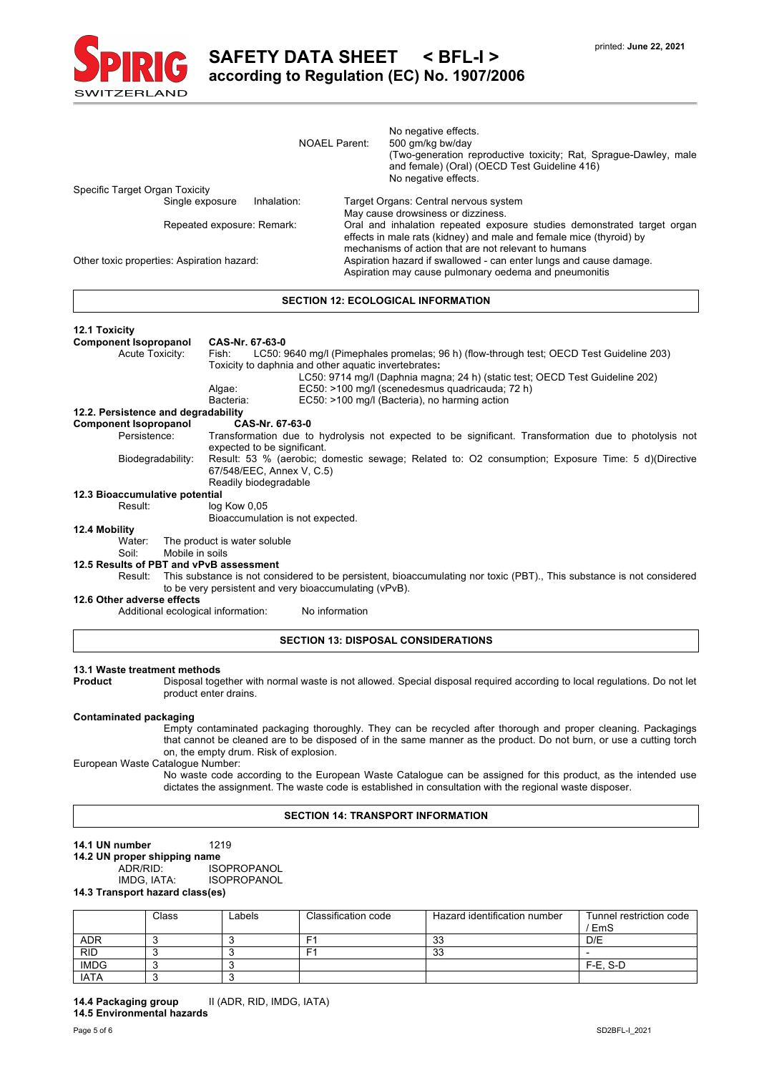

|                                                              |                              |                                         |                                                                                                                                      |                       | <b>NOAEL Parent:</b>                                   |                                                                                                                                                                                                        | No negative effects.<br>500 gm/kg bw/day                                                                                                 |  |
|--------------------------------------------------------------|------------------------------|-----------------------------------------|--------------------------------------------------------------------------------------------------------------------------------------|-----------------------|--------------------------------------------------------|--------------------------------------------------------------------------------------------------------------------------------------------------------------------------------------------------------|------------------------------------------------------------------------------------------------------------------------------------------|--|
|                                                              |                              |                                         |                                                                                                                                      |                       |                                                        |                                                                                                                                                                                                        | (Two-generation reproductive toxicity; Rat, Sprague-Dawley, male<br>and female) (Oral) (OECD Test Guideline 416)<br>No negative effects. |  |
|                                                              |                              | Specific Target Organ Toxicity          |                                                                                                                                      |                       |                                                        |                                                                                                                                                                                                        |                                                                                                                                          |  |
| Single exposure<br>Inhalation:<br>Repeated exposure: Remark: |                              |                                         |                                                                                                                                      |                       |                                                        | Target Organs: Central nervous system<br>May cause drowsiness or dizziness.                                                                                                                            |                                                                                                                                          |  |
|                                                              |                              |                                         |                                                                                                                                      |                       |                                                        | Oral and inhalation repeated exposure studies demonstrated target organ<br>effects in male rats (kidney) and male and female mice (thyroid) by<br>mechanisms of action that are not relevant to humans |                                                                                                                                          |  |
| Other toxic properties: Aspiration hazard:                   |                              |                                         |                                                                                                                                      |                       |                                                        | Aspiration hazard if swallowed - can enter lungs and cause damage.<br>Aspiration may cause pulmonary oedema and pneumonitis                                                                            |                                                                                                                                          |  |
|                                                              |                              |                                         |                                                                                                                                      |                       |                                                        |                                                                                                                                                                                                        | <b>SECTION 12: ECOLOGICAL INFORMATION</b>                                                                                                |  |
| <b>12.1 Toxicity</b>                                         |                              |                                         |                                                                                                                                      |                       |                                                        |                                                                                                                                                                                                        |                                                                                                                                          |  |
|                                                              | <b>Component Isopropanol</b> |                                         | CAS-Nr. 67-63-0                                                                                                                      |                       |                                                        |                                                                                                                                                                                                        |                                                                                                                                          |  |
| <b>Acute Toxicity:</b>                                       |                              |                                         | Fish:<br>Toxicity to daphnia and other aquatic invertebrates:                                                                        |                       |                                                        |                                                                                                                                                                                                        | LC50: 9640 mg/l (Pimephales promelas; 96 h) (flow-through test; OECD Test Guideline 203)                                                 |  |
|                                                              |                              |                                         |                                                                                                                                      |                       |                                                        |                                                                                                                                                                                                        | LC50: 9714 mg/l (Daphnia magna; 24 h) (static test; OECD Test Guideline 202)                                                             |  |
|                                                              |                              |                                         | Algae:<br>Bacteria:                                                                                                                  |                       |                                                        |                                                                                                                                                                                                        | EC50: >100 mg/l (scenedesmus quadricauda; 72 h)<br>EC50: >100 mg/l (Bacteria), no harming action                                         |  |
|                                                              |                              | 12.2. Persistence and degradability     |                                                                                                                                      |                       |                                                        |                                                                                                                                                                                                        |                                                                                                                                          |  |
|                                                              | <b>Component Isopropanol</b> |                                         |                                                                                                                                      | CAS-Nr. 67-63-0       |                                                        |                                                                                                                                                                                                        |                                                                                                                                          |  |
|                                                              | Persistence:                 |                                         | Transformation due to hydrolysis not expected to be significant. Transformation due to photolysis not<br>expected to be significant. |                       |                                                        |                                                                                                                                                                                                        |                                                                                                                                          |  |
| Biodegradability:                                            |                              |                                         | 67/548/EEC, Annex V, C.5)                                                                                                            |                       |                                                        |                                                                                                                                                                                                        | Result: 53 % (aerobic; domestic sewage; Related to: O2 consumption; Exposure Time: 5 d)(Directive                                        |  |
|                                                              |                              | 12.3 Bioaccumulative potential          |                                                                                                                                      | Readily biodegradable |                                                        |                                                                                                                                                                                                        |                                                                                                                                          |  |
|                                                              | Result:                      |                                         | log Kow 0,05                                                                                                                         |                       |                                                        |                                                                                                                                                                                                        |                                                                                                                                          |  |
|                                                              |                              |                                         |                                                                                                                                      |                       | Bioaccumulation is not expected.                       |                                                                                                                                                                                                        |                                                                                                                                          |  |
| 12.4 Mobility                                                |                              |                                         |                                                                                                                                      |                       |                                                        |                                                                                                                                                                                                        |                                                                                                                                          |  |
|                                                              | Water:<br>Soil:              | Mobile in soils                         | The product is water soluble                                                                                                         |                       |                                                        |                                                                                                                                                                                                        |                                                                                                                                          |  |
|                                                              |                              | 12.5 Results of PBT and vPvB assessment |                                                                                                                                      |                       |                                                        |                                                                                                                                                                                                        |                                                                                                                                          |  |
|                                                              | Result:                      |                                         |                                                                                                                                      |                       |                                                        |                                                                                                                                                                                                        | This substance is not considered to be persistent, bioaccumulating nor toxic (PBT)., This substance is not considered                    |  |
|                                                              |                              |                                         |                                                                                                                                      |                       | to be very persistent and very bioaccumulating (vPvB). |                                                                                                                                                                                                        |                                                                                                                                          |  |
|                                                              |                              | 12.6 Other adverse effects              |                                                                                                                                      |                       |                                                        |                                                                                                                                                                                                        |                                                                                                                                          |  |
|                                                              |                              | Additional ecological information:      |                                                                                                                                      |                       | No information                                         |                                                                                                                                                                                                        |                                                                                                                                          |  |
|                                                              |                              |                                         |                                                                                                                                      |                       |                                                        |                                                                                                                                                                                                        | <b>SECTION 13: DISPOSAL CONSIDERATIONS</b>                                                                                               |  |
|                                                              |                              |                                         |                                                                                                                                      |                       |                                                        |                                                                                                                                                                                                        |                                                                                                                                          |  |
| Product                                                      |                              | 13.1 Waste treatment methods            | product enter drains.                                                                                                                |                       |                                                        |                                                                                                                                                                                                        | Disposal together with normal waste is not allowed. Special disposal required according to local regulations. Do not let                 |  |
|                                                              |                              |                                         |                                                                                                                                      |                       |                                                        |                                                                                                                                                                                                        |                                                                                                                                          |  |

#### **Contaminated packaging**

Empty contaminated packaging thoroughly. They can be recycled after thorough and proper cleaning. Packagings that cannot be cleaned are to be disposed of in the same manner as the product. Do not burn, or use a cutting torch on, the empty drum. Risk of explosion.

European Waste Catalogue Number:

No waste code according to the European Waste Catalogue can be assigned for this product, as the intended use dictates the assignment. The waste code is established in consultation with the regional waste disposer.

#### **SECTION 14: TRANSPORT INFORMATION**

## **14.1 UN number** 1219

**14.2 UN proper shipping name**

ADR/RID: ISOPROPANOL<br>IMDG, IATA: ISOPROPANOL **ISOPROPANOL** 

## **14.3 Transport hazard class(es)**

|             | Class | Labels | Classification code | Hazard identification number | Tunnel restriction code<br>/EmS |
|-------------|-------|--------|---------------------|------------------------------|---------------------------------|
| <b>ADR</b>  |       |        | F <sub>1</sub>      | 33                           | D/E                             |
| RID         |       |        | F٬                  | 33                           |                                 |
| <b>IMDG</b> |       |        |                     |                              | F-E.S-D                         |
| <b>IATA</b> |       |        |                     |                              |                                 |